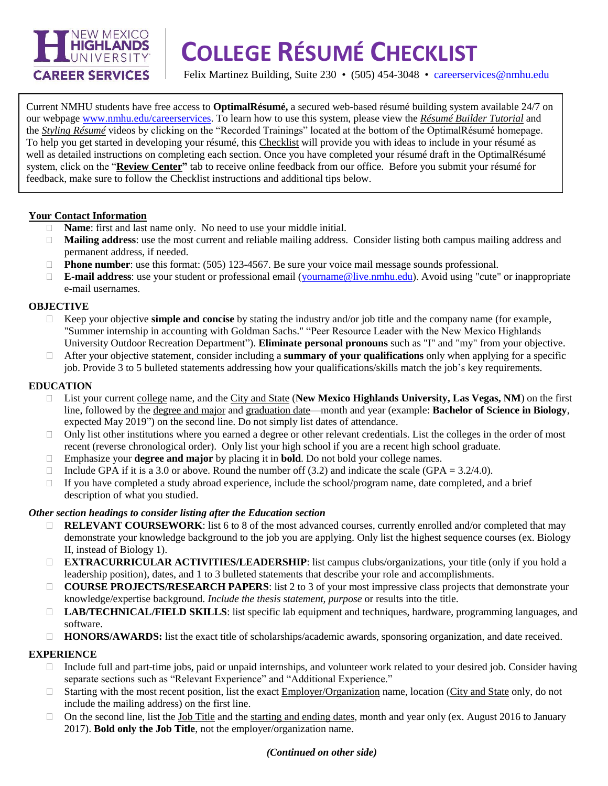

# **\_\_\_\_\_\_\_\_\_\_\_\_\_\_\_\_\_\_\_\_\_\_\_\_\_\_\_\_\_\_\_\_\_\_\_\_\_\_\_\_\_\_\_\_\_\_\_\_\_\_\_\_\_\_\_\_\_\_\_\_\_\_\_\_\_\_\_\_ COLLEGE RÉSUMÉ CHECKLIST**

Felix Martinez Building, Suite 230 • (505) 454-3048 • [careerservices@nmhu.edu](mailto:careerservices@nmhu.edu)

Current NMHU students have free access to **OptimalRésumé,** a secured web-based résumé building system available 24/7 on our webpage [www.nmhu.edu/careerservices.](http://www.nmhu.edu/careerservices) To learn how to use this system, please view the *Résumé Builder Tutorial* and the *Styling Résumé* videos by clicking on the "Recorded Trainings" located at the bottom of the OptimalRésumé homepage. To help you get started in developing your résumé, this Checklist will provide you with ideas to include in your résumé as well as detailed instructions on completing each section. Once you have completed your résumé draft in the OptimalRésumé system, click on the "**Review Center"** tab to receive online feedback from our office.Before you submit your résumé for feedback, make sure to follow the Checklist instructions and additional tips below.

### **Your Contact Information**

- **Name:** first and last name only. No need to use your middle initial.
- **Mailing address**: use the most current and reliable mailing address. Consider listing both campus mailing address and permanent address, if needed.
- □ **Phone number**: use this format: (505) 123-4567. Be sure your voice mail message sounds professional.
- **E-mail address**: use your student or professional email [\(yourname@live.nmhu.edu\)](mailto:yourname@live.nmhu.edu). Avoid using "cute" or inappropriate e-mail usernames.

#### **OBJECTIVE**

- $\Box$  Keep your objective **simple and concise** by stating the industry and/or job title and the company name (for example, "Summer internship in accounting with Goldman Sachs." "Peer Resource Leader with the New Mexico Highlands University Outdoor Recreation Department"). **Eliminate personal pronouns** such as "I" and "my" from your objective.
- After your objective statement, consider including a **summary of your qualifications** only when applying for a specific job. Provide 3 to 5 bulleted statements addressing how your qualifications/skills match the job's key requirements.

### **EDUCATION**

- List your current college name, and the City and State (**New Mexico Highlands University, Las Vegas, NM**) on the first line, followed by the degree and major and graduation date—month and year (example: **Bachelor of Science in Biology**, expected May 2019") on the second line. Do not simply list dates of attendance.
- $\Box$  Only list other institutions where you earned a degree or other relevant credentials. List the colleges in the order of most recent (reverse chronological order). Only list your high school if you are a recent high school graduate.
- Emphasize your **degree and major** by placing it in **bold**. Do not bold your college names.
- Include GPA if it is a 3.0 or above. Round the number off (3.2) and indicate the scale (GPA =  $3.2/4.0$ ).
- $\Box$  If you have completed a study abroad experience, include the school/program name, date completed, and a brief description of what you studied.

### *Other section headings to consider listing after the Education section*

- **RELEVANT COURSEWORK:** list 6 to 8 of the most advanced courses, currently enrolled and/or completed that may demonstrate your knowledge background to the job you are applying. Only list the highest sequence courses (ex. Biology II, instead of Biology 1).
- **EXTRACURRICULAR ACTIVITIES/LEADERSHIP**: list campus clubs/organizations, your title (only if you hold a leadership position), dates, and 1 to 3 bulleted statements that describe your role and accomplishments.
- **COURSE PROJECTS/RESEARCH PAPERS:** list 2 to 3 of your most impressive class projects that demonstrate your knowledge/expertise background. *Include the thesis statement, purpose* or results into the title.
- **LAB/TECHNICAL/FIELD SKILLS**: list specific lab equipment and techniques, hardware, programming languages, and software.
- **HONORS/AWARDS:** list the exact title of scholarships/academic awards, sponsoring organization, and date received.

### **EXPERIENCE**

- $\Box$  Include full and part-time jobs, paid or unpaid internships, and volunteer work related to your desired job. Consider having separate sections such as "Relevant Experience" and "Additional Experience."
- $\Box$  Starting with the most recent position, list the exact Employer/Organization name, location (City and State only, do not include the mailing address) on the first line.
- $\Box$  On the second line, list the Job Title and the starting and ending dates, month and year only (ex. August 2016 to January 2017). **Bold only the Job Title**, not the employer/organization name.